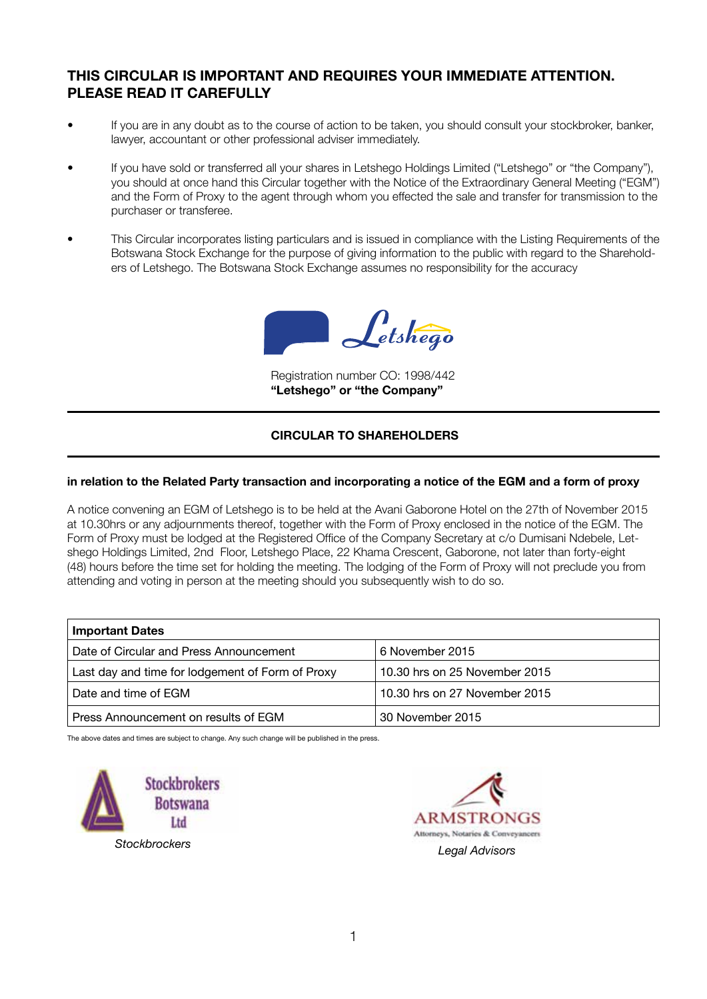# **THIS CIRCULAR IS IMPORTANT AND REQUIRES YOUR IMMEDIATE ATTENTION. PLEASE READ IT CAREFULLY**

- If you are in any doubt as to the course of action to be taken, you should consult your stockbroker, banker, lawyer, accountant or other professional adviser immediately.
- If you have sold or transferred all your shares in Letshego Holdings Limited ("Letshego" or "the Company"), you should at once hand this Circular together with the Notice of the Extraordinary General Meeting ("EGM") and the Form of Proxy to the agent through whom you effected the sale and transfer for transmission to the purchaser or transferee.
- This Circular incorporates listing particulars and is issued in compliance with the Listing Requirements of the Botswana Stock Exchange for the purpose of giving information to the public with regard to the Shareholders of Letshego. The Botswana Stock Exchange assumes no responsibility for the accuracy



Registration number CO: 1998/442 **"Letshego" or "the Company"**

## **CIRCULAR TO SHAREHOLDERS**

#### **in relation to the Related Party transaction and incorporating a notice of the EGM and a form of proxy**

A notice convening an EGM of Letshego is to be held at the Avani Gaborone Hotel on the 27th of November 2015 at 10.30hrs or any adjournments thereof, together with the Form of Proxy enclosed in the notice of the EGM. The Form of Proxy must be lodged at the Registered Office of the Company Secretary at c/o Dumisani Ndebele, Letshego Holdings Limited, 2nd Floor, Letshego Place, 22 Khama Crescent, Gaborone, not later than forty-eight (48) hours before the time set for holding the meeting. The lodging of the Form of Proxy will not preclude you from attending and voting in person at the meeting should you subsequently wish to do so.

| <b>Important Dates</b>                           |                               |
|--------------------------------------------------|-------------------------------|
| Date of Circular and Press Announcement          | 6 November 2015               |
| Last day and time for lodgement of Form of Proxy | 10.30 hrs on 25 November 2015 |
| Date and time of EGM                             | 10.30 hrs on 27 November 2015 |
| Press Announcement on results of EGM             | 30 November 2015              |

The above dates and times are subject to change. Any such change will be published in the press.



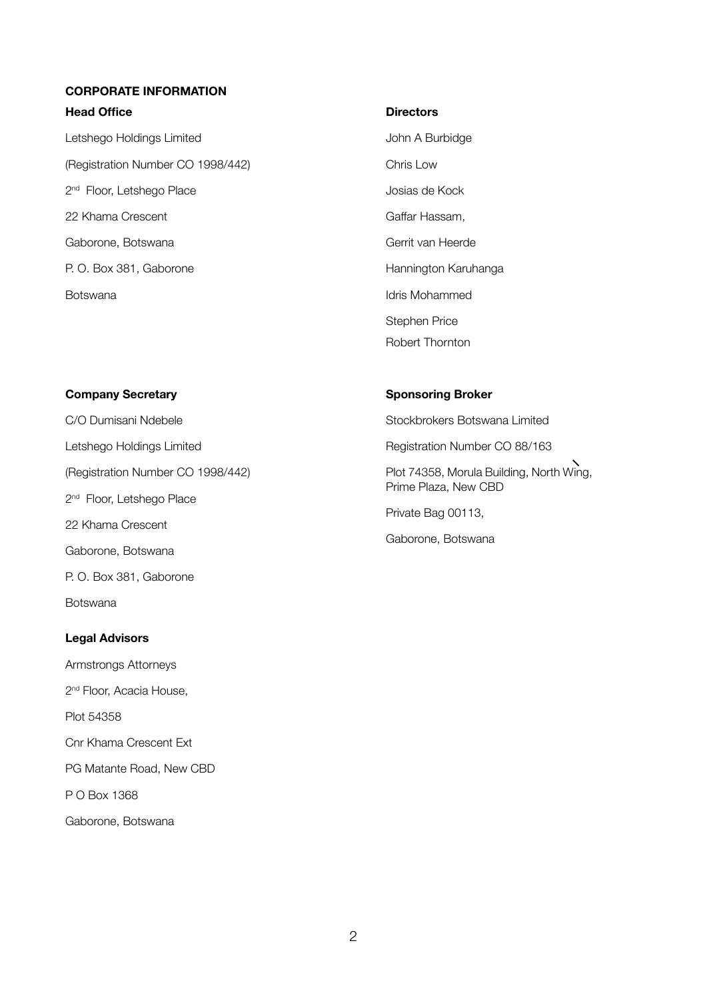#### **CORPORATE INFORMATION**

#### **Head Office**

Letshego Holdings Limited (Registration Number CO 1998/442) 2<sup>nd</sup> Floor, Letshego Place 22 Khama Crescent Gaborone, Botswana P. O. Box 381, Gaborone Botswana

#### **Directors**

John A Burbidge Chris Low Josias de Kock Gaffar Hassam, Gerrit van Heerde Hannington Karuhanga Idris Mohammed Stephen Price Robert Thornton

#### **Company Secretary**

C/O Dumisani Ndebele Letshego Holdings Limited (Registration Number CO 1998/442) 2<sup>nd</sup> Floor, Letshego Place 22 Khama Crescent Gaborone, Botswana P. O. Box 381, Gaborone **Botswana** 

#### **Legal Advisors**

Armstrongs Attorneys 2<sup>nd</sup> Floor, Acacia House, Plot 54358 Cnr Khama Crescent Ext PG Matante Road, New CBD P O Box 1368 Gaborone, Botswana

#### **Sponsoring Broker**

Stockbrokers Botswana Limited

Registration Number CO 88/163

Plot 74358, Morula Building, North Wing, Prime Plaza, New CBD

Private Bag 00113,

Gaborone, Botswana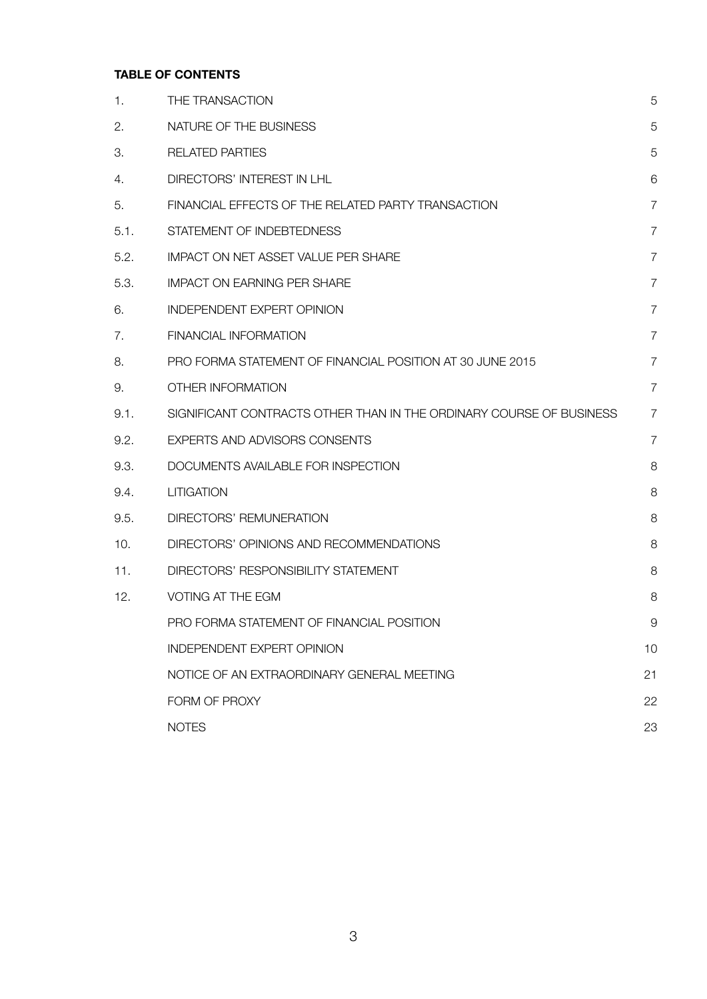## **TABLE OF CONTENTS**

| $\mathbf 1$ . | THE TRANSACTION                                                     | 5              |
|---------------|---------------------------------------------------------------------|----------------|
| 2.            | NATURE OF THE BUSINESS                                              | 5              |
| 3.            | <b>RELATED PARTIES</b>                                              | 5              |
| 4.            | DIRECTORS' INTEREST IN LHL                                          | 6              |
| 5.            | FINANCIAL EFFECTS OF THE RELATED PARTY TRANSACTION                  | $\overline{7}$ |
| 5.1.          | STATEMENT OF INDEBTEDNESS                                           | $\overline{7}$ |
| 5.2.          | <b>IMPACT ON NET ASSET VALUE PER SHARE</b>                          | $\overline{7}$ |
| 5.3.          | <b>IMPACT ON EARNING PER SHARE</b>                                  | $\overline{7}$ |
| 6.            | <b>INDEPENDENT EXPERT OPINION</b>                                   | $\overline{7}$ |
| 7.            | <b>FINANCIAL INFORMATION</b>                                        | $\overline{7}$ |
| 8.            | PRO FORMA STATEMENT OF FINANCIAL POSITION AT 30 JUNE 2015           | $\overline{7}$ |
| 9.            | OTHER INFORMATION                                                   | $\overline{7}$ |
| 9.1.          | SIGNIFICANT CONTRACTS OTHER THAN IN THE ORDINARY COURSE OF BUSINESS | $\overline{7}$ |
| 9.2.          | EXPERTS AND ADVISORS CONSENTS                                       | $\overline{7}$ |
| 9.3.          | DOCUMENTS AVAILABLE FOR INSPECTION                                  | 8              |
| 9.4.          | <b>LITIGATION</b>                                                   | 8              |
| 9.5.          | DIRECTORS' REMUNERATION                                             | 8              |
| 10.           | DIRECTORS' OPINIONS AND RECOMMENDATIONS                             | 8              |
| 11.           | DIRECTORS' RESPONSIBILITY STATEMENT                                 | 8              |
| 12.           | <b>VOTING AT THE EGM</b>                                            | 8              |
|               | PRO FORMA STATEMENT OF FINANCIAL POSITION                           | 9              |
|               | INDEPENDENT EXPERT OPINION                                          | 10             |
|               | NOTICE OF AN EXTRAORDINARY GENERAL MEETING                          | 21             |
|               | FORM OF PROXY                                                       | 22             |
|               | <b>NOTES</b>                                                        | 23             |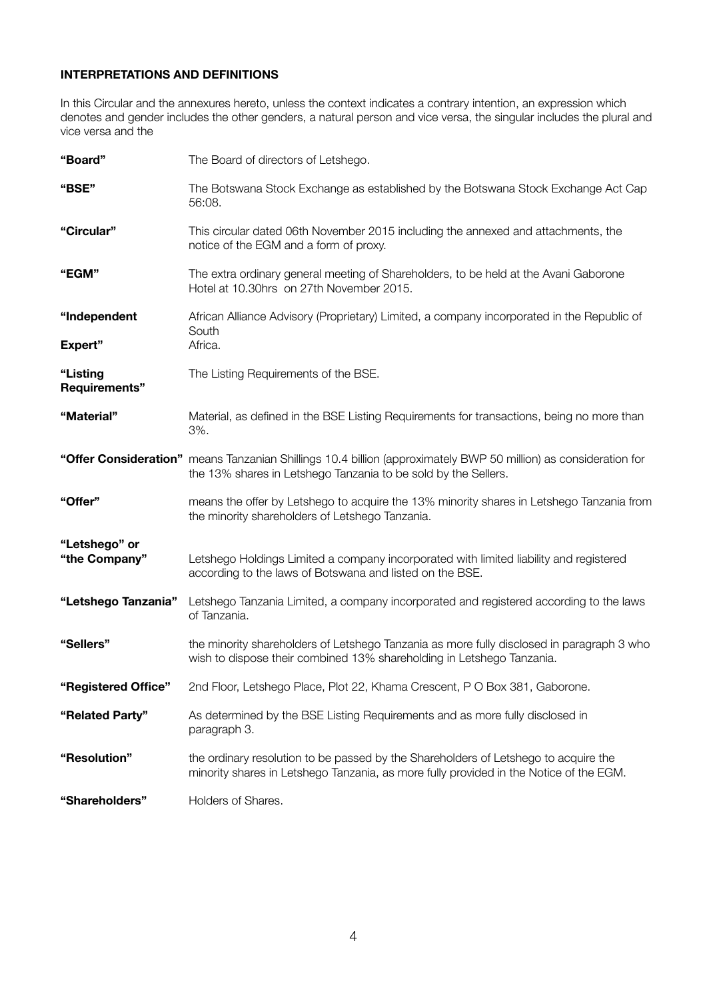## **INTERPRETATIONS AND DEFINITIONS**

In this Circular and the annexures hereto, unless the context indicates a contrary intention, an expression which denotes and gender includes the other genders, a natural person and vice versa, the singular includes the plural and vice versa and the

| "Board"                        | The Board of directors of Letshego.                                                                                                                                                |
|--------------------------------|------------------------------------------------------------------------------------------------------------------------------------------------------------------------------------|
| "BSE"                          | The Botswana Stock Exchange as established by the Botswana Stock Exchange Act Cap<br>56:08.                                                                                        |
| "Circular"                     | This circular dated 06th November 2015 including the annexed and attachments, the<br>notice of the EGM and a form of proxy.                                                        |
| "EGM"                          | The extra ordinary general meeting of Shareholders, to be held at the Avani Gaborone<br>Hotel at 10.30hrs on 27th November 2015.                                                   |
| "Independent<br>Expert"        | African Alliance Advisory (Proprietary) Limited, a company incorporated in the Republic of<br>South<br>Africa.                                                                     |
| "Listing<br>Requirements"      | The Listing Requirements of the BSE.                                                                                                                                               |
| "Material"                     | Material, as defined in the BSE Listing Requirements for transactions, being no more than<br>3%.                                                                                   |
|                                | "Offer Consideration" means Tanzanian Shillings 10.4 billion (approximately BWP 50 million) as consideration for<br>the 13% shares in Letshego Tanzania to be sold by the Sellers. |
| "Offer"                        | means the offer by Letshego to acquire the 13% minority shares in Letshego Tanzania from<br>the minority shareholders of Letshego Tanzania.                                        |
| "Letshego" or<br>"the Company" | Letshego Holdings Limited a company incorporated with limited liability and registered<br>according to the laws of Botswana and listed on the BSE.                                 |
| "Letshego Tanzania"            | Letshego Tanzania Limited, a company incorporated and registered according to the laws<br>of Tanzania.                                                                             |
| "Sellers"                      | the minority shareholders of Letshego Tanzania as more fully disclosed in paragraph 3 who<br>wish to dispose their combined 13% shareholding in Letshego Tanzania.                 |
| "Registered Office"            | 2nd Floor, Letshego Place, Plot 22, Khama Crescent, P O Box 381, Gaborone.                                                                                                         |
| "Related Party"                | As determined by the BSE Listing Requirements and as more fully disclosed in<br>paragraph 3.                                                                                       |
| "Resolution"                   | the ordinary resolution to be passed by the Shareholders of Letshego to acquire the<br>minority shares in Letshego Tanzania, as more fully provided in the Notice of the EGM.      |
| "Shareholders"                 | Holders of Shares.                                                                                                                                                                 |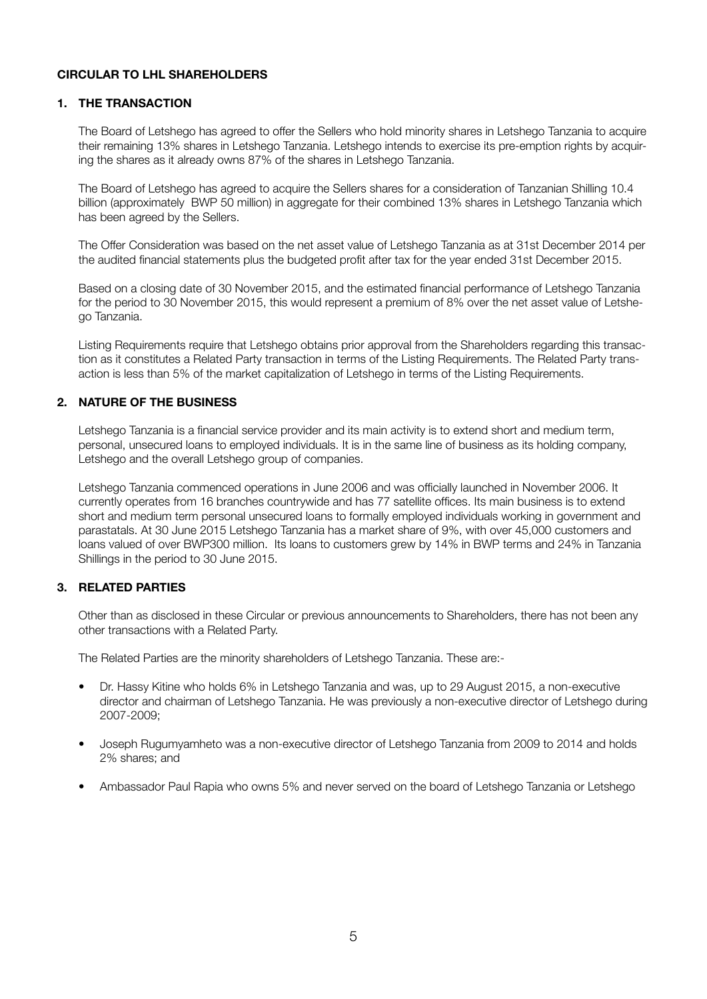#### **CIRCULAR TO LHL SHAREHOLDERS**

#### **1. THE TRANSACTION**

 The Board of Letshego has agreed to offer the Sellers who hold minority shares in Letshego Tanzania to acquire their remaining 13% shares in Letshego Tanzania. Letshego intends to exercise its pre-emption rights by acquiring the shares as it already owns 87% of the shares in Letshego Tanzania.

 The Board of Letshego has agreed to acquire the Sellers shares for a consideration of Tanzanian Shilling 10.4 billion (approximately BWP 50 million) in aggregate for their combined 13% shares in Letshego Tanzania which has been agreed by the Sellers.

 The Offer Consideration was based on the net asset value of Letshego Tanzania as at 31st December 2014 per the audited financial statements plus the budgeted profit after tax for the year ended 31st December 2015.

 Based on a closing date of 30 November 2015, and the estimated financial performance of Letshego Tanzania for the period to 30 November 2015, this would represent a premium of 8% over the net asset value of Letshego Tanzania.

 Listing Requirements require that Letshego obtains prior approval from the Shareholders regarding this transaction as it constitutes a Related Party transaction in terms of the Listing Requirements. The Related Party transaction is less than 5% of the market capitalization of Letshego in terms of the Listing Requirements.

## **2. NATURE OF THE BUSINESS**

 Letshego Tanzania is a financial service provider and its main activity is to extend short and medium term, personal, unsecured loans to employed individuals. It is in the same line of business as its holding company, Letshego and the overall Letshego group of companies.

 Letshego Tanzania commenced operations in June 2006 and was officially launched in November 2006. It currently operates from 16 branches countrywide and has 77 satellite offices. Its main business is to extend short and medium term personal unsecured loans to formally employed individuals working in government and parastatals. At 30 June 2015 Letshego Tanzania has a market share of 9%, with over 45,000 customers and loans valued of over BWP300 million. Its loans to customers grew by 14% in BWP terms and 24% in Tanzania Shillings in the period to 30 June 2015.

#### **3. RELATED PARTIES**

 Other than as disclosed in these Circular or previous announcements to Shareholders, there has not been any other transactions with a Related Party.

 The Related Parties are the minority shareholders of Letshego Tanzania. These are:-

- Dr. Hassy Kitine who holds 6% in Letshego Tanzania and was, up to 29 August 2015, a non-executive director and chairman of Letshego Tanzania. He was previously a non-executive director of Letshego during 2007-2009;
- Joseph Rugumyamheto was a non-executive director of Letshego Tanzania from 2009 to 2014 and holds 2% shares; and
- Ambassador Paul Rapia who owns 5% and never served on the board of Letshego Tanzania or Letshego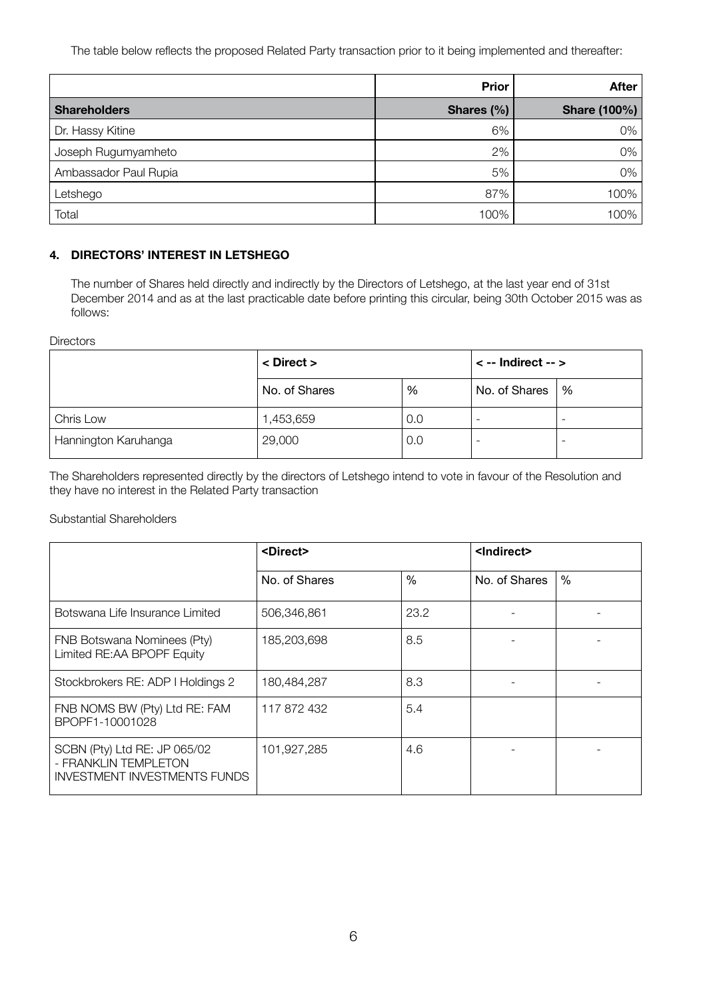The table below reflects the proposed Related Party transaction prior to it being implemented and thereafter:

|                       | <b>Prior</b> | <b>After</b>        |
|-----------------------|--------------|---------------------|
| <b>Shareholders</b>   | Shares (%)   | <b>Share (100%)</b> |
| Dr. Hassy Kitine      | 6%           | 0%                  |
| Joseph Rugumyamheto   | 2%           | 0%                  |
| Ambassador Paul Rupia | 5%           | 0%                  |
| Letshego              | 87%          | 100%                |
| Total                 | 100%         | 100%                |

# **4. DIRECTORS' INTEREST IN Letshego**

 The number of Shares held directly and indirectly by the Directors of Letshego, at the last year end of 31st December 2014 and as at the last practicable date before printing this circular, being 30th October 2015 was as follows:

**Directors** 

|                      | $\langle$ Direct $\rangle$ |     | $\le$ -- Indirect -- $>$ |                          |
|----------------------|----------------------------|-----|--------------------------|--------------------------|
|                      | No. of Shares              | %   | No. of Shares            | %                        |
| Chris Low            | 1,453,659                  | 0.0 |                          | $\overline{\phantom{0}}$ |
| Hannington Karuhanga | 29,000                     | 0.0 |                          | -                        |

The Shareholders represented directly by the directors of Letshego intend to vote in favour of the Resolution and they have no interest in the Related Party transaction

#### Substantial Shareholders

|                                                                                             | <direct></direct> |               | <indirect></indirect> |      |  |
|---------------------------------------------------------------------------------------------|-------------------|---------------|-----------------------|------|--|
|                                                                                             | No. of Shares     | $\frac{0}{0}$ | No. of Shares         | $\%$ |  |
| Botswana Life Insurance Limited                                                             | 506,346,861       | 23.2          |                       |      |  |
| FNB Botswana Nominees (Pty)<br>Limited RE:AA BPOPF Equity                                   | 185,203,698       | 8.5           |                       |      |  |
| Stockbrokers RE: ADP I Holdings 2                                                           | 180,484,287       | 8.3           |                       |      |  |
| FNB NOMS BW (Pty) Ltd RE: FAM<br>BPOPF1-10001028                                            | 117 872 432       | 5.4           |                       |      |  |
| SCBN (Pty) Ltd RE: JP 065/02<br>- FRANKLIN TEMPLETON<br><b>INVESTMENT INVESTMENTS FUNDS</b> | 101,927,285       | 4.6           |                       |      |  |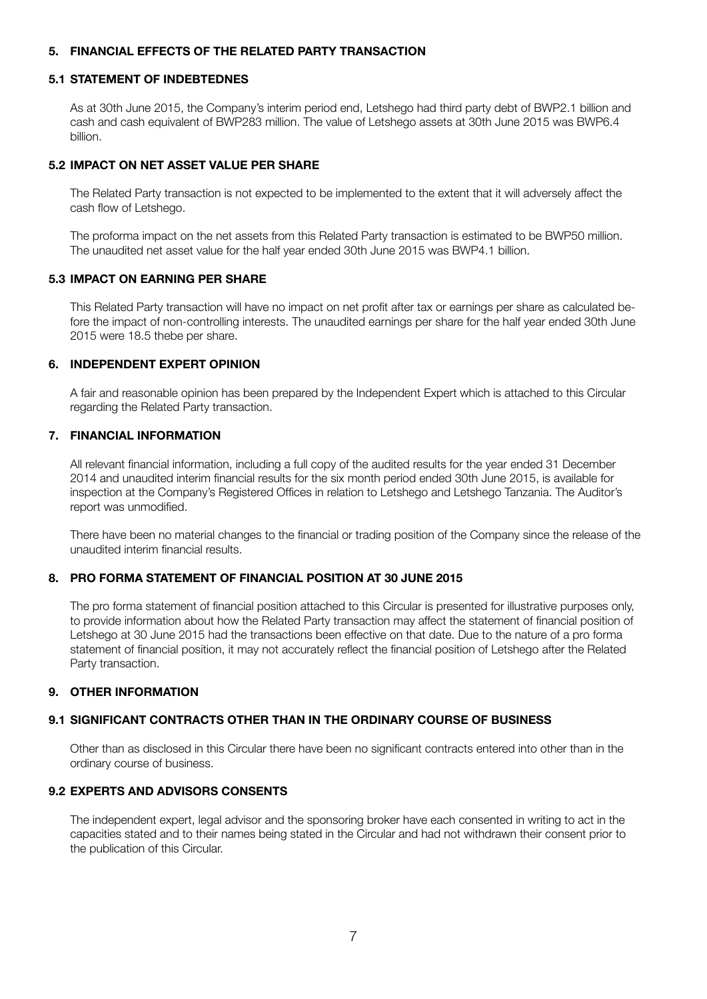#### **5. FINANCIAL EFFECTS OF THE RELATED PARTY TRANSACTION**

#### **5.1 STATEMENT OF INDEBTEDNES**

 As at 30th June 2015, the Company's interim period end, Letshego had third party debt of BWP2.1 billion and cash and cash equivalent of BWP283 million. The value of Letshego assets at 30th June 2015 was BWP6.4 billion.

#### **5.2 IMPACT ON NET ASSET VALUE PER SHARE**

 The Related Party transaction is not expected to be implemented to the extent that it will adversely affect the cash flow of Letshego.

 The proforma impact on the net assets from this Related Party transaction is estimated to be BWP50 million. The unaudited net asset value for the half year ended 30th June 2015 was BWP4.1 billion.

#### **5.3 IMPACT ON EARNING PER SHARE**

 This Related Party transaction will have no impact on net profit after tax or earnings per share as calculated before the impact of non-controlling interests. The unaudited earnings per share for the half year ended 30th June 2015 were 18.5 thebe per share.

#### **6. INDEPENDENT EXPERT OPINION**

 A fair and reasonable opinion has been prepared by the Independent Expert which is attached to this Circular regarding the Related Party transaction.

## **7. FINANCIAL INFORMATION**

 All relevant financial information, including a full copy of the audited results for the year ended 31 December 2014 and unaudited interim financial results for the six month period ended 30th June 2015, is available for inspection at the Company's Registered Offices in relation to Letshego and Letshego Tanzania. The Auditor's report was unmodified.

 There have been no material changes to the financial or trading position of the Company since the release of the unaudited interim financial results.

## **8. PRO FORMA STATEMENT OF FINANCIAL POSITION AT 30 JUNE 2015**

 The pro forma statement of financial position attached to this Circular is presented for illustrative purposes only, to provide information about how the Related Party transaction may affect the statement of financial position of Letshego at 30 June 2015 had the transactions been effective on that date. Due to the nature of a pro forma statement of financial position, it may not accurately reflect the financial position of Letshego after the Related Party transaction.

#### **9. OTHER INFORMATION**

#### **9.1 SIGNIFICANT CONTRACTS OTHER THAN IN THE ORDINARY COURSE OF BUSINESS**

 Other than as disclosed in this Circular there have been no significant contracts entered into other than in the ordinary course of business.

#### **9.2 EXPERTS AND ADVISORS CONSENTS**

 The independent expert, legal advisor and the sponsoring broker have each consented in writing to act in the capacities stated and to their names being stated in the Circular and had not withdrawn their consent prior to the publication of this Circular.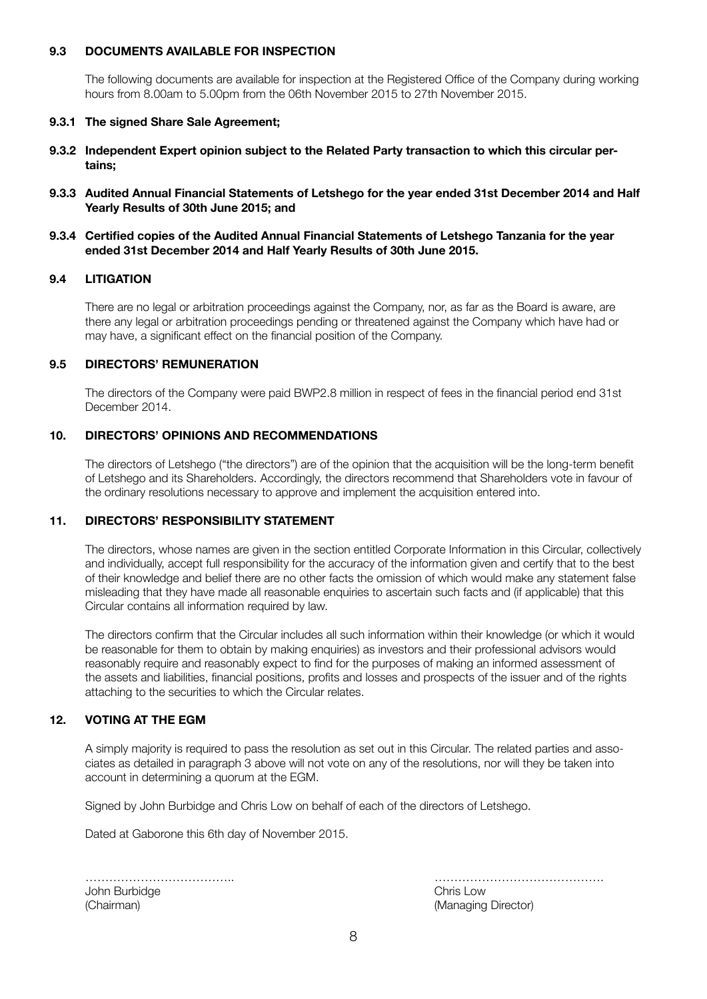#### **9.3 DOCUMENTS AVAILABLE FOR INSPECTION**

 The following documents are available for inspection at the Registered Office of the Company during working hours from 8.00am to 5.00pm from the 06th November 2015 to 27th November 2015.

#### **9.3.1 The signed Share Sale Agreement;**

- **9.3.2 Independent Expert opinion subject to the Related Party transaction to which this circular pertains;**
- **9.3.3 Audited Annual Financial Statements of Letshego for the year ended 31st December 2014 and Half Yearly Results of 30th June 2015; and**
- **9.3.4 Certified copies of the Audited Annual Financial Statements of Letshego Tanzania for the year ended 31st December 2014 and Half Yearly Results of 30th June 2015.**

#### **9.4 LITIGATION**

 There are no legal or arbitration proceedings against the Company, nor, as far as the Board is aware, are there any legal or arbitration proceedings pending or threatened against the Company which have had or may have, a significant effect on the financial position of the Company.

#### **9.5 DIRECTORS' REMUNERATION**

 The directors of the Company were paid BWP2.8 million in respect of fees in the financial period end 31st December 2014.

## **10. DIRECTORS' OPINIONS AND RECOMMENDATIONS**

 The directors of Letshego ("the directors") are of the opinion that the acquisition will be the long-term benefit of Letshego and its Shareholders. Accordingly, the directors recommend that Shareholders vote in favour of the ordinary resolutions necessary to approve and implement the acquisition entered into.

#### **11. DIRECTORS' RESPONSIBILITY STATEMENT**

 The directors, whose names are given in the section entitled Corporate Information in this Circular, collectively and individually, accept full responsibility for the accuracy of the information given and certify that to the best of their knowledge and belief there are no other facts the omission of which would make any statement false misleading that they have made all reasonable enquiries to ascertain such facts and (if applicable) that this Circular contains all information required by law.

 The directors confirm that the Circular includes all such information within their knowledge (or which it would be reasonable for them to obtain by making enquiries) as investors and their professional advisors would reasonably require and reasonably expect to find for the purposes of making an informed assessment of the assets and liabilities, financial positions, profits and losses and prospects of the issuer and of the rights attaching to the securities to which the Circular relates.

#### **12. VOTING AT THE EGM**

 A simply majority is required to pass the resolution as set out in this Circular. The related parties and associates as detailed in paragraph 3 above will not vote on any of the resolutions, nor will they be taken into account in determining a quorum at the EGM.

 Signed by John Burbidge and Chris Low on behalf of each of the directors of Letshego.

 Dated at Gaborone this 6th day of November 2015.

|               | .         |
|---------------|-----------|
| John Burbidge | Chris Low |
| (Chairman)    | (Managing |

 ……………………………….. ……………………………………. (Managing Director)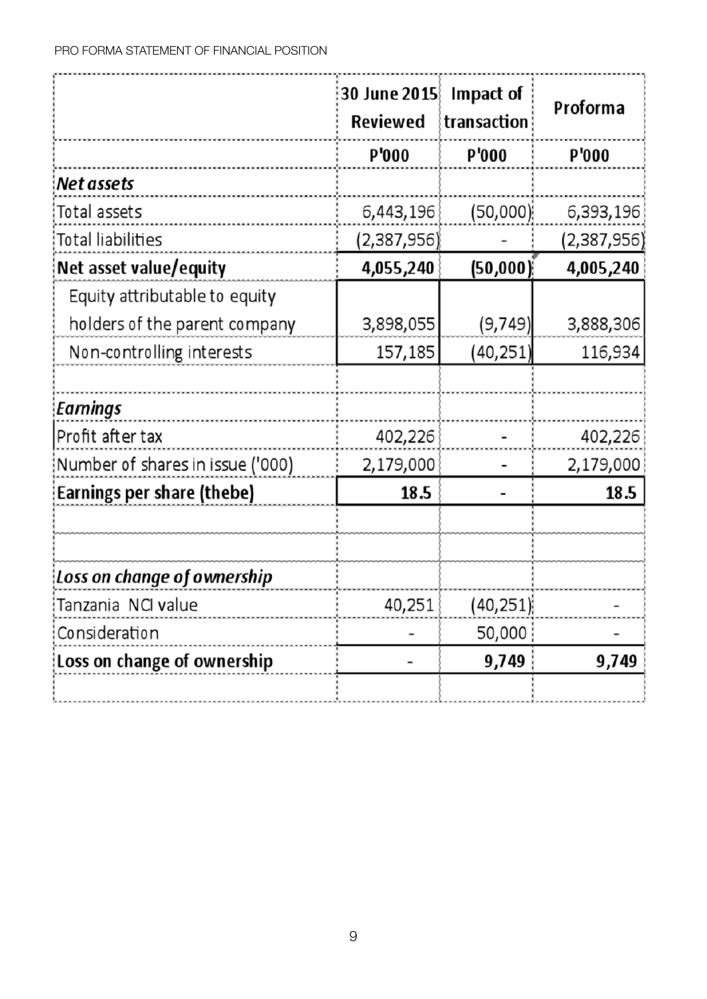|                                  | 30 June 2015<br><b>Reviewed</b> | Impact of<br>transaction | Proforma     |
|----------------------------------|---------------------------------|--------------------------|--------------|
|                                  | <b>P'000</b>                    | <b>P'000</b>             | <b>P'000</b> |
| Net assets                       |                                 |                          |              |
| Total assets                     | 6,443,196                       | (50,000)                 | 6,393,196    |
| Total liabilities                | (2,387,956)                     |                          | (2,387,956)  |
| Net asset value/equity           | 4,055,240                       | (50, 000)                | 4,005,240    |
| Equity attributable to equity    |                                 |                          |              |
| holders of the parent company    | 3,898,055                       | (9, 749)                 | 3,888,306    |
| Non-controlling interests        | 157,185                         | (40, 251)                | 116,934      |
|                                  |                                 |                          |              |
| Earnings                         |                                 |                          |              |
| Profit after tax                 | 402,226                         |                          | 402,226      |
| Number of shares in issue ('000) | 2,179,000                       |                          | 2,179,000    |
| Earnings per share (thebe)       | 18.5                            |                          | 18.5         |
|                                  |                                 |                          |              |
|                                  |                                 |                          |              |
| Loss on change of ownership      |                                 |                          |              |
| Tanzania NCI value               | 40,251                          | (40, 251)                |              |
| Consideration                    |                                 | 50,000                   |              |
| Loss on change of ownership      |                                 | 9,749                    | 9,749        |
|                                  |                                 |                          |              |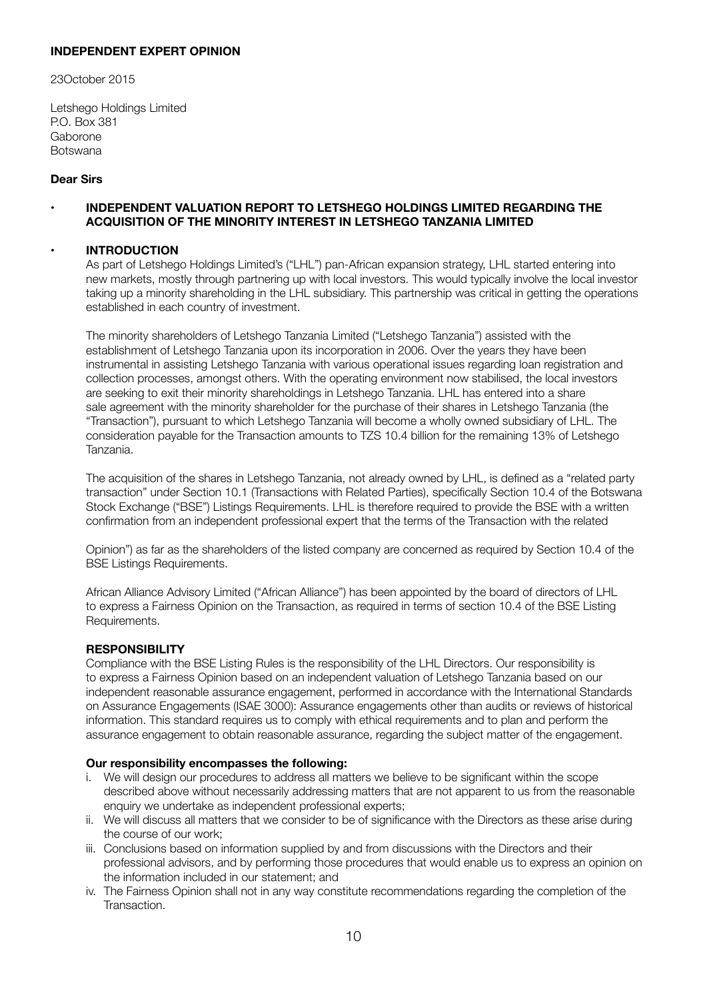### **INDEPENDENT EXPERT OPINION**

23October 2015

Letshego Holdings Limited P.O. Box 381 Gaborone Botswana

#### **Dear Sirs**

#### **• INDEPENDENT VALUATION REPORT TO LETSHEGO HOLDINGS LIMITED REGARDING THE ACQUISITION OF THE MINORITY INTEREST IN LETSHEGO TANZANIA LIMITED**

#### **• INTRODUCTION**

 As part of Letshego Holdings Limited's ("LHL") pan-African expansion strategy, LHL started entering into new markets, mostly through partnering up with local investors. This would typically involve the local investor taking up a minority shareholding in the LHL subsidiary. This partnership was critical in getting the operations established in each country of investment.

 The minority shareholders of Letshego Tanzania Limited ("Letshego Tanzania") assisted with the establishment of Letshego Tanzania upon its incorporation in 2006. Over the years they have been instrumental in assisting Letshego Tanzania with various operational issues regarding loan registration and collection processes, amongst others. With the operating environment now stabilised, the local investors are seeking to exit their minority shareholdings in Letshego Tanzania. LHL has entered into a share sale agreement with the minority shareholder for the purchase of their shares in Letshego Tanzania (the "Transaction"), pursuant to which Letshego Tanzania will become a wholly owned subsidiary of LHL. The consideration payable for the Transaction amounts to TZS 10.4 billion for the remaining 13% of Letshego Tanzania.

 The acquisition of the shares in Letshego Tanzania, not already owned by LHL, is defined as a "related party transaction" under Section 10.1 (Transactions with Related Parties), specifically Section 10.4 of the Botswana Stock Exchange ("BSE") Listings Requirements. LHL is therefore required to provide the BSE with a written confirmation from an independent professional expert that the terms of the Transaction with the related

 Opinion") as far as the shareholders of the listed company are concerned as required by Section 10.4 of the BSE Listings Requirements.

 African Alliance Advisory Limited ("African Alliance") has been appointed by the board of directors of LHL to express a Fairness Opinion on the Transaction, as required in terms of section 10.4 of the BSE Listing Requirements.

#### **RESPONSIBILITY**

 Compliance with the BSE Listing Rules is the responsibility of the LHL Directors. Our responsibility is to express a Fairness Opinion based on an independent valuation of Letshego Tanzania based on our independent reasonable assurance engagement, performed in accordance with the International Standards on Assurance Engagements (ISAE 3000): Assurance engagements other than audits or reviews of historical information. This standard requires us to comply with ethical requirements and to plan and perform the assurance engagement to obtain reasonable assurance, regarding the subject matter of the engagement.

#### **Our responsibility encompasses the following:**

- i. We will design our procedures to address all matters we believe to be significant within the scope described above without necessarily addressing matters that are not apparent to us from the reasonable enquiry we undertake as independent professional experts;
- ii. We will discuss all matters that we consider to be of significance with the Directors as these arise during the course of our work;
- iii. Conclusions based on information supplied by and from discussions with the Directors and their professional advisors, and by performing those procedures that would enable us to express an opinion on the information included in our statement; and
- iv. The Fairness Opinion shall not in any way constitute recommendations regarding the completion of the Transaction.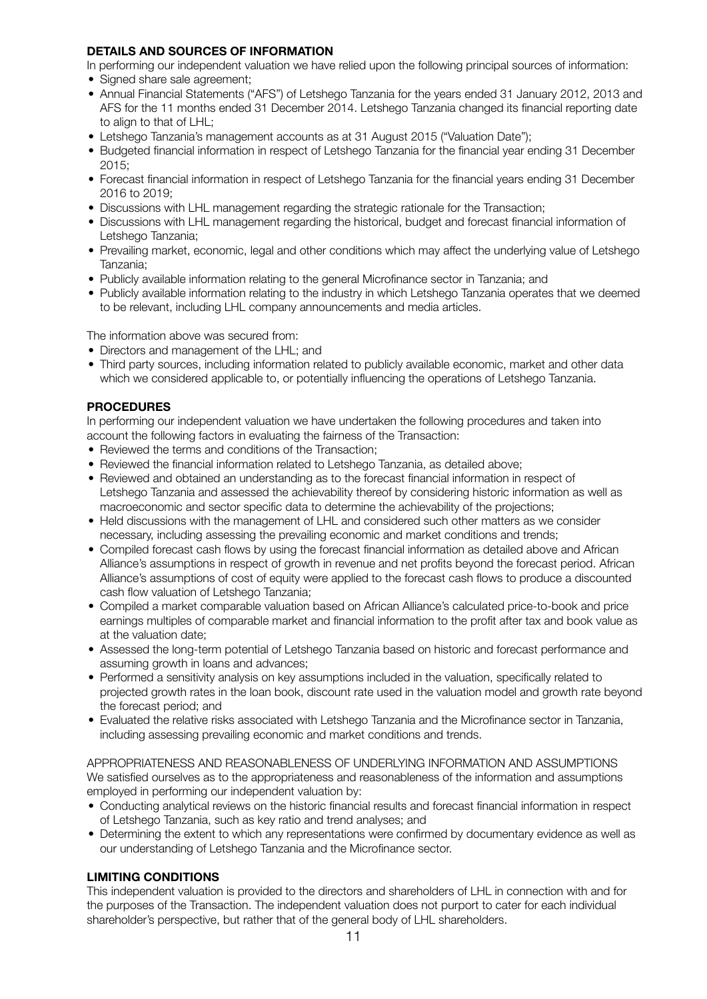## **DETAILS AND SOURCES OF INFORMATION**

 In performing our independent valuation we have relied upon the following principal sources of information:

- Signed share sale agreement;
- Annual Financial Statements ("AFS") of Letshego Tanzania for the years ended 31 January 2012, 2013 and AFS for the 11 months ended 31 December 2014. Letshego Tanzania changed its financial reporting date to align to that of LHL;
- Letshego Tanzania's management accounts as at 31 August 2015 ("Valuation Date");
- Budgeted financial information in respect of Letshego Tanzania for the financial year ending 31 December 2015;
- Forecast financial information in respect of Letshego Tanzania for the financial years ending 31 December 2016 to 2019;
- Discussions with LHL management regarding the strategic rationale for the Transaction;
- Discussions with LHL management regarding the historical, budget and forecast financial information of Letshego Tanzania;
- Prevailing market, economic, legal and other conditions which may affect the underlying value of Letshego Tanzania;
- Publicly available information relating to the general Microfinance sector in Tanzania; and
- Publicly available information relating to the industry in which Letshego Tanzania operates that we deemed to be relevant, including LHL company announcements and media articles.

 The information above was secured from:

- Directors and management of the LHL: and
- Third party sources, including information related to publicly available economic, market and other data which we considered applicable to, or potentially influencing the operations of Letshego Tanzania.

## **PROCEDURES**

 In performing our independent valuation we have undertaken the following procedures and taken into account the following factors in evaluating the fairness of the Transaction:

- Reviewed the terms and conditions of the Transaction:
- Reviewed the financial information related to Letshego Tanzania, as detailed above;
- Reviewed and obtained an understanding as to the forecast financial information in respect of Letshego Tanzania and assessed the achievability thereof by considering historic information as well as macroeconomic and sector specific data to determine the achievability of the projections;
- Held discussions with the management of LHL and considered such other matters as we consider necessary, including assessing the prevailing economic and market conditions and trends;
- Compiled forecast cash flows by using the forecast financial information as detailed above and African Alliance's assumptions in respect of growth in revenue and net profits beyond the forecast period. African Alliance's assumptions of cost of equity were applied to the forecast cash flows to produce a discounted cash flow valuation of Letshego Tanzania;
- • Compiled a market comparable valuation based on African Alliance's calculated price-to-book and price earnings multiples of comparable market and financial information to the profit after tax and book value as at the valuation date;
- Assessed the long-term potential of Letshego Tanzania based on historic and forecast performance and assuming growth in loans and advances;
- Performed a sensitivity analysis on key assumptions included in the valuation, specifically related to projected growth rates in the loan book, discount rate used in the valuation model and growth rate beyond the forecast period; and
- Evaluated the relative risks associated with Letshego Tanzania and the Microfinance sector in Tanzania, including assessing prevailing economic and market conditions and trends.

#### APPROPRIATENESS AND REASONABLENESS OF UNDERLYING INFORMATION AND ASSUMPTIONS We satisfied ourselves as to the appropriateness and reasonableness of the information and assumptions employed in performing our independent valuation by:

- Conducting analytical reviews on the historic financial results and forecast financial information in respect of Letshego Tanzania, such as key ratio and trend analyses; and
- Determining the extent to which any representations were confirmed by documentary evidence as well as our understanding of Letshego Tanzania and the Microfinance sector.

## **LIMITING CONDITIONS**

 This independent valuation is provided to the directors and shareholders of LHL in connection with and for the purposes of the Transaction. The independent valuation does not purport to cater for each individual shareholder's perspective, but rather that of the general body of LHL shareholders.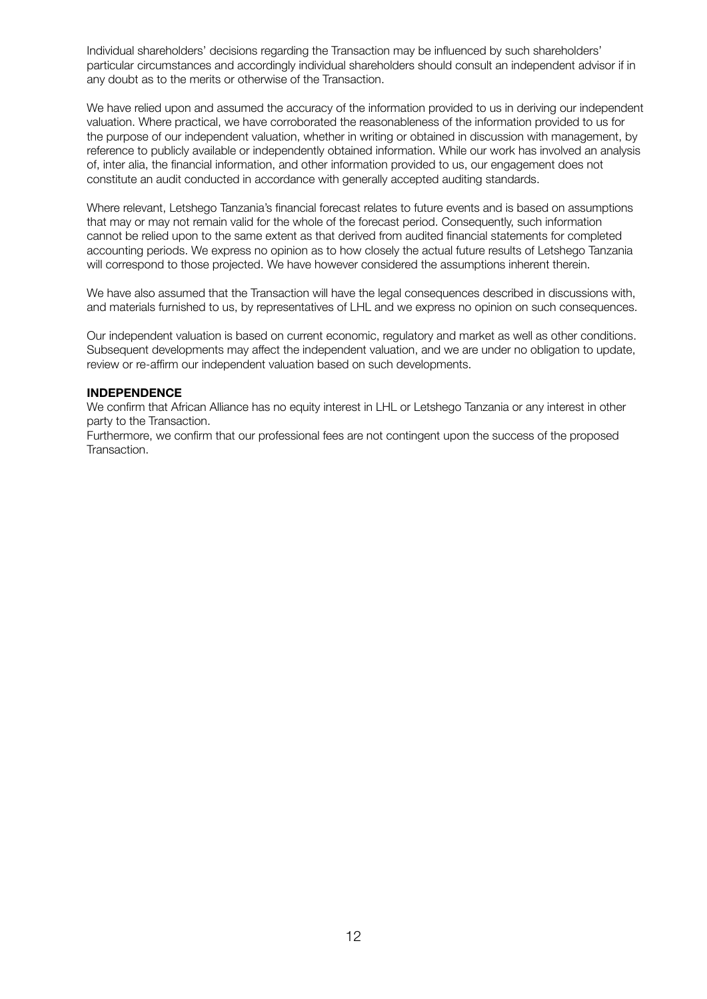Individual shareholders' decisions regarding the Transaction may be influenced by such shareholders' particular circumstances and accordingly individual shareholders should consult an independent advisor if in any doubt as to the merits or otherwise of the Transaction.

We have relied upon and assumed the accuracy of the information provided to us in deriving our independent valuation. Where practical, we have corroborated the reasonableness of the information provided to us for the purpose of our independent valuation, whether in writing or obtained in discussion with management, by reference to publicly available or independently obtained information. While our work has involved an analysis of, inter alia, the financial information, and other information provided to us, our engagement does not constitute an audit conducted in accordance with generally accepted auditing standards.

 Where relevant, Letshego Tanzania's financial forecast relates to future events and is based on assumptions that may or may not remain valid for the whole of the forecast period. Consequently, such information cannot be relied upon to the same extent as that derived from audited financial statements for completed accounting periods. We express no opinion as to how closely the actual future results of Letshego Tanzania will correspond to those projected. We have however considered the assumptions inherent therein.

 We have also assumed that the Transaction will have the legal consequences described in discussions with, and materials furnished to us, by representatives of LHL and we express no opinion on such consequences.

 Our independent valuation is based on current economic, regulatory and market as well as other conditions. Subsequent developments may affect the independent valuation, and we are under no obligation to update, review or re-affirm our independent valuation based on such developments.

#### **INDEPENDENCE**

 We confirm that African Alliance has no equity interest in LHL or Letshego Tanzania or any interest in other party to the Transaction.

 Furthermore, we confirm that our professional fees are not contingent upon the success of the proposed Transaction.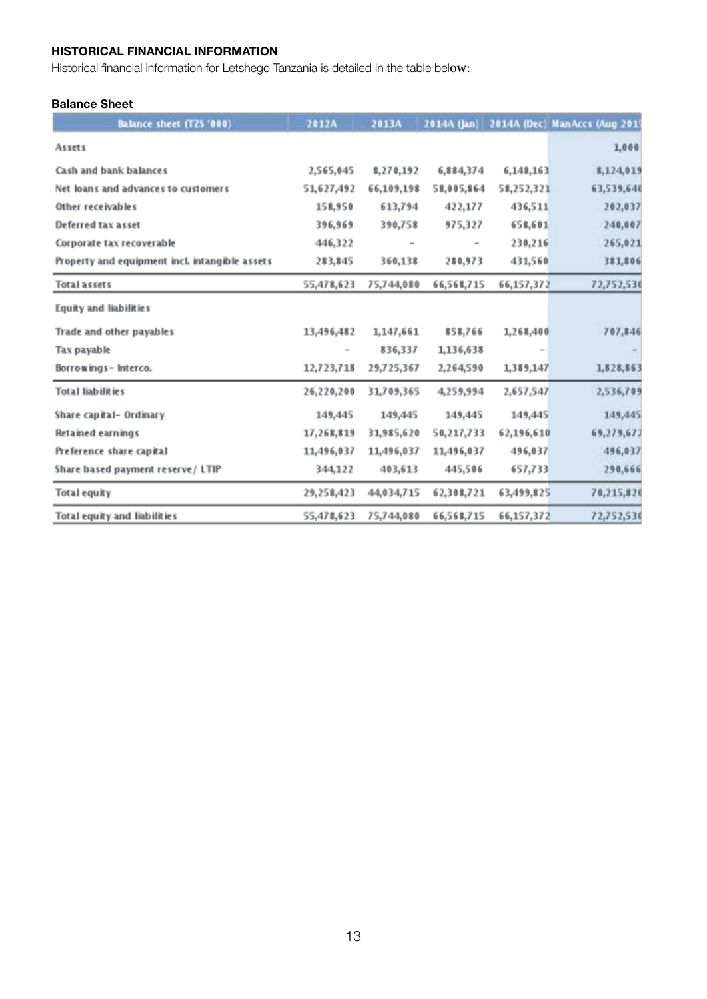## **HISTORICAL FINANCIAL INFORMATION**

Historical financial information for Letshego Tanzania is detailed in the table below:

## **Balance Sheet**

| Balance sheet (TZS '000)                       | 2012A      | 2013A      | 2014A (Jan) |            | 2014A (Dec) ManAccs (Aug 2019 |
|------------------------------------------------|------------|------------|-------------|------------|-------------------------------|
| Assets                                         |            |            |             |            | 1,000                         |
| Cash and bank balances                         | 2,565,045  | 8,270,192  | 6,884,374   | 6,148,163  | 8,124,019                     |
| Net loans and advances to customers            | 51,627,492 | 66,109,198 | 58,005,864  | 58,252,321 | 63,539,640                    |
| Other receivables                              | 158,950    | 613,794    | 422,177     | 436,511    | 202,037                       |
| Deferred tax asset                             | 396,969    | 390,758    | 975,327     | 658,601    | 240,007                       |
| Corporate tax recoverable                      | 446,322    |            |             | 230,216    | 265,021                       |
| Property and equipment incl. intangible assets | 283,845    | 360,138    | 280,973     | 431,560    | 381,806                       |
| <b>Total assets</b>                            | 55,478,623 | 75,744,080 | 66,568,715  | 66,157,372 | 72,752,530                    |
| Equity and liabilities                         |            |            |             |            |                               |
| Trade and other payables                       | 13,496,482 | 1,147,661  | 858,766     | 1,268,400  | 707,846                       |
| Tax payable                                    |            | 836,337    | 1,136,638   |            |                               |
| Borrowings-Interco.                            | 12,723,718 | 29,725,367 | 2,264,590   | 1,389,147  | 1,828,863                     |
| Total liabilities                              | 26,220,200 | 31,709,365 | 4,259,994   | 2,657,547  | 2,536,709                     |
| Share capital- Ordinary                        | 149,445    | 149,445    | 149,445     | 149,445    | 149,445                       |
| <b>Retained earnings</b>                       | 17,268,819 | 31,985,620 | 50,217,733  | 62,196,610 | 69,279,672                    |
| Preference share capital                       | 11,496,037 | 11,496,037 | 11,496,037  | 496,037    | 496,037                       |
| Share based payment reserve / LTIP             | 344,122    | 403,613    | 445,506     | 657,733    | 290,666                       |
| <b>Total equity</b>                            | 29,258,423 | 44,034,715 | 62,308,721  | 63,499,825 | 70,215,820                    |
| Total equity and liabilities                   | 55,478,623 | 75,744,080 | 66,568,715  | 66,157,372 | 72,752,530                    |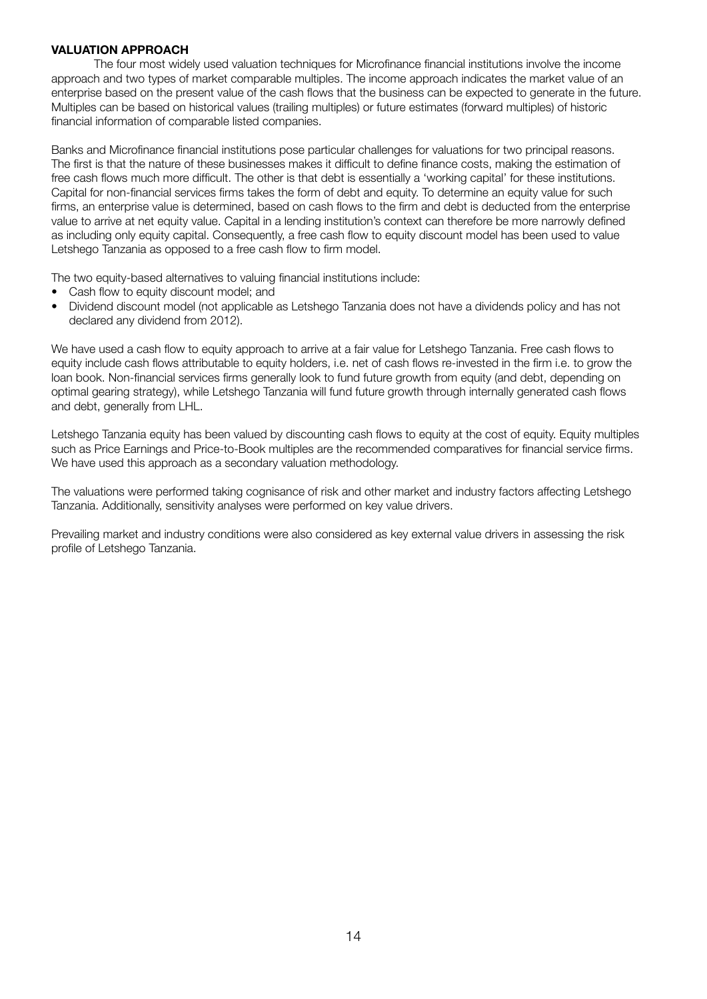#### **VALUATION APPROACH**

 The four most widely used valuation techniques for Microfinance financial institutions involve the income approach and two types of market comparable multiples. The income approach indicates the market value of an enterprise based on the present value of the cash flows that the business can be expected to generate in the future. Multiples can be based on historical values (trailing multiples) or future estimates (forward multiples) of historic financial information of comparable listed companies.

Banks and Microfinance financial institutions pose particular challenges for valuations for two principal reasons. The first is that the nature of these businesses makes it difficult to define finance costs, making the estimation of free cash flows much more difficult. The other is that debt is essentially a 'working capital' for these institutions. Capital for non-financial services firms takes the form of debt and equity. To determine an equity value for such firms, an enterprise value is determined, based on cash flows to the firm and debt is deducted from the enterprise value to arrive at net equity value. Capital in a lending institution's context can therefore be more narrowly defined as including only equity capital. Consequently, a free cash flow to equity discount model has been used to value Letshego Tanzania as opposed to a free cash flow to firm model.

The two equity-based alternatives to valuing financial institutions include:

- Cash flow to equity discount model; and
- • Dividend discount model (not applicable as Letshego Tanzania does not have a dividends policy and has not declared any dividend from 2012).

We have used a cash flow to equity approach to arrive at a fair value for Letshego Tanzania. Free cash flows to equity include cash flows attributable to equity holders, i.e. net of cash flows re-invested in the firm i.e. to grow the loan book. Non-financial services firms generally look to fund future growth from equity (and debt, depending on optimal gearing strategy), while Letshego Tanzania will fund future growth through internally generated cash flows and debt, generally from LHL.

Letshego Tanzania equity has been valued by discounting cash flows to equity at the cost of equity. Equity multiples such as Price Earnings and Price-to-Book multiples are the recommended comparatives for financial service firms. We have used this approach as a secondary valuation methodology.

The valuations were performed taking cognisance of risk and other market and industry factors affecting Letshego Tanzania. Additionally, sensitivity analyses were performed on key value drivers.

Prevailing market and industry conditions were also considered as key external value drivers in assessing the risk profile of Letshego Tanzania.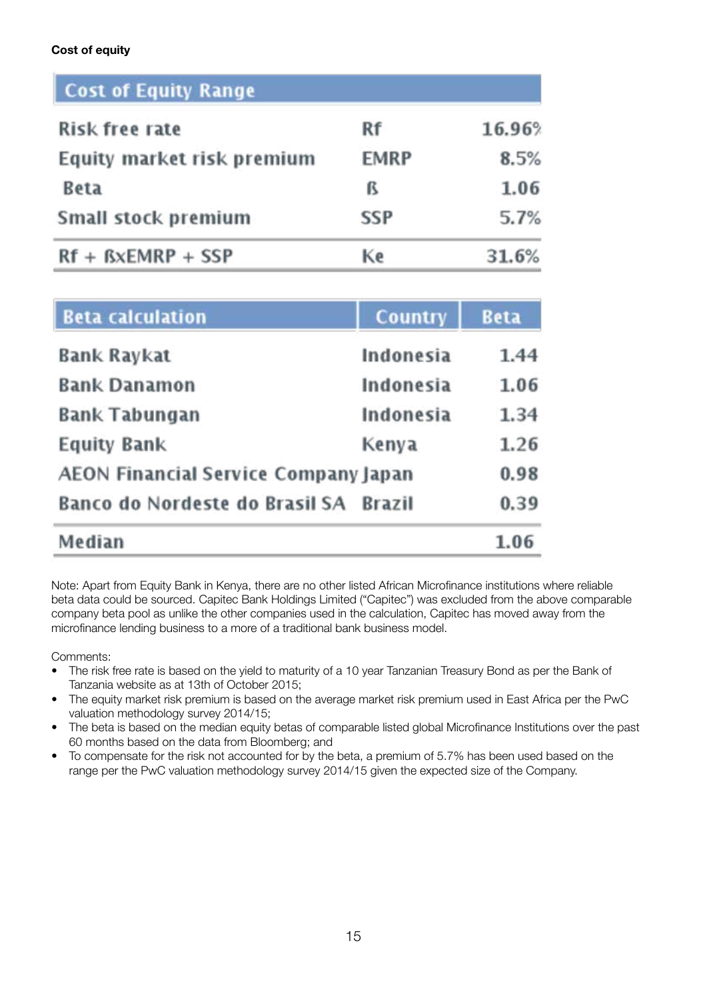## **Cost of equity**

| <b>Cost of Equity Range</b> |             |        |
|-----------------------------|-------------|--------|
| Risk free rate              | Rf          | 16.96% |
| Equity market risk premium  | <b>EMRP</b> | 8.5%   |
| <b>Beta</b>                 | ß           | 1.06   |
| Small stock premium         | <b>SSP</b>  | 5.7%   |
| $Rf + BxEMRP + SSP$         | Ke          | 31.6%  |

| <b>Beta calculation</b>              | <b>Country</b> | <b>Beta</b> |
|--------------------------------------|----------------|-------------|
| Bank Raykat                          | Indonesia      | 1.44        |
| <b>Bank Danamon</b>                  | Indonesia      | 1.06        |
| <b>Bank Tabungan</b>                 | Indonesia      | 1.34        |
| <b>Equity Bank</b>                   | Kenya          | 1.26        |
| AEON Financial Service Company Japan |                | 0.98        |
| Banco do Nordeste do Brasil SA       | <b>Brazil</b>  | 0.39        |
| Median                               |                | 1.06        |

Note: Apart from Equity Bank in Kenya, there are no other listed African Microfinance institutions where reliable beta data could be sourced. Capitec Bank Holdings Limited ("Capitec") was excluded from the above comparable company beta pool as unlike the other companies used in the calculation, Capitec has moved away from the microfinance lending business to a more of a traditional bank business model.

Comments:

- The risk free rate is based on the yield to maturity of a 10 year Tanzanian Treasury Bond as per the Bank of Tanzania website as at 13th of October 2015;
- The equity market risk premium is based on the average market risk premium used in East Africa per the PwC valuation methodology survey 2014/15;
- The beta is based on the median equity betas of comparable listed global Microfinance Institutions over the past 60 months based on the data from Bloomberg; and
- To compensate for the risk not accounted for by the beta, a premium of 5.7% has been used based on the range per the PwC valuation methodology survey 2014/15 given the expected size of the Company.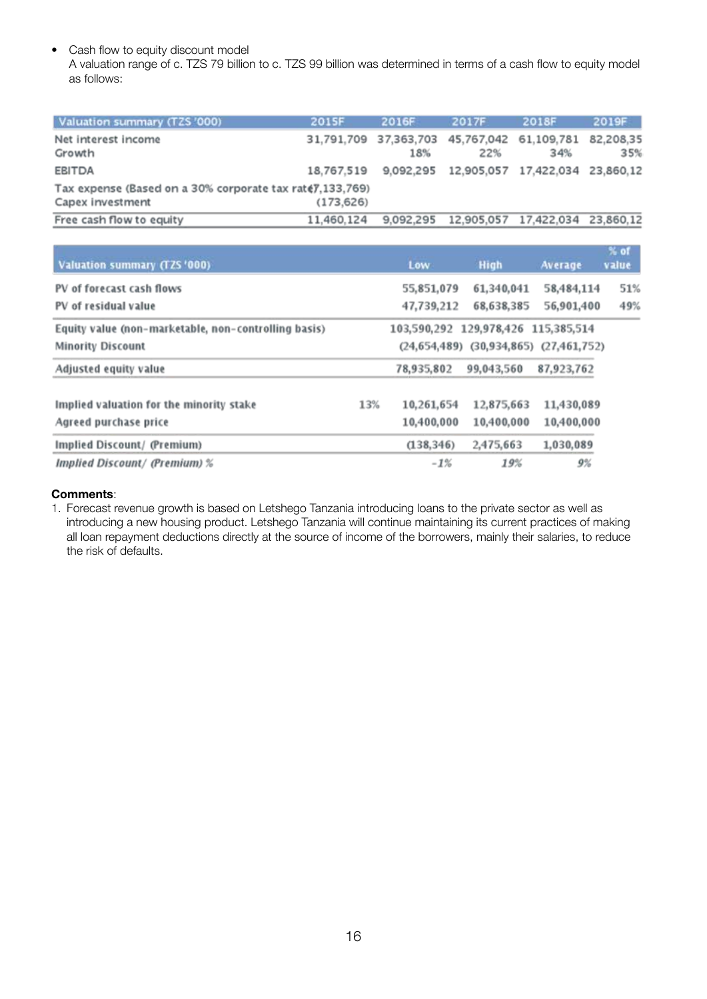• Cash flow to equity discount model

 A valuation range of c. TZS 79 billion to c. TZS 99 billion was determined in terms of a cash flow to equity model as follows:

| Valuation summary (TZS '000)                                                   | <b>2015F</b> | 2016F     | 2017F                                   | <b>2018F</b>      | 2019F            |
|--------------------------------------------------------------------------------|--------------|-----------|-----------------------------------------|-------------------|------------------|
| Net interest income<br>Growth                                                  |              | 18%       | 31,791,709 37,363,703 45,767,042<br>22% | 61.109.781<br>34% | 82.208.35<br>35% |
| <b>EBITDA</b>                                                                  | 18.767.519   | 9.092.295 | 12,905,057 17,422,034 23,860,12         |                   |                  |
| Tax expense (Based on a 30% corporate tax rate), 133, 769)<br>Capex investment | (173, 626)   |           |                                         |                   |                  |
| Free cash flow to equity                                                       | 11.460.124   | 9.092.295 | 12.905.057                              | 17.422.034        | 23,860.12        |

| Valuation summary (TZS '000)                         |     | Low                                 | High                                         | Average    | $\%$ of<br>value |
|------------------------------------------------------|-----|-------------------------------------|----------------------------------------------|------------|------------------|
| PV of forecast cash flows                            |     | 55,851,079                          | 61,340,041                                   | 58,484,114 | 51%              |
| PV of residual value                                 |     | 47,739,212                          | 68,638,385                                   | 56,901,400 | 49%              |
| Equity value (non-marketable, non-controlling basis) |     | 103,590,292 129,978,426 115,385,514 |                                              |            |                  |
| <b>Minority Discount</b>                             |     |                                     | $(24,654,489)$ $(30,934,865)$ $(27,461,752)$ |            |                  |
| Adjusted equity value                                |     | 78,935,802                          | 99,043,560                                   | 87,923,762 |                  |
| Implied valuation for the minority stake             | 13% | 10,261,654                          | 12,875,663                                   | 11,430,089 |                  |
| Agreed purchase price                                |     | 10,400,000                          | 10,400,000                                   | 10,400,000 |                  |
| Implied Discount/ (Premium)                          |     | (138, 346)                          | 2,475,663                                    | 1,030,089  |                  |
| <b>Implied Discount/ (Premium) %</b>                 |     | $-1%$                               | 19%                                          | 9%         |                  |

#### **Comments**:

1. Forecast revenue growth is based on Letshego Tanzania introducing loans to the private sector as well as introducing a new housing product. Letshego Tanzania will continue maintaining its current practices of making all loan repayment deductions directly at the source of income of the borrowers, mainly their salaries, to reduce the risk of defaults.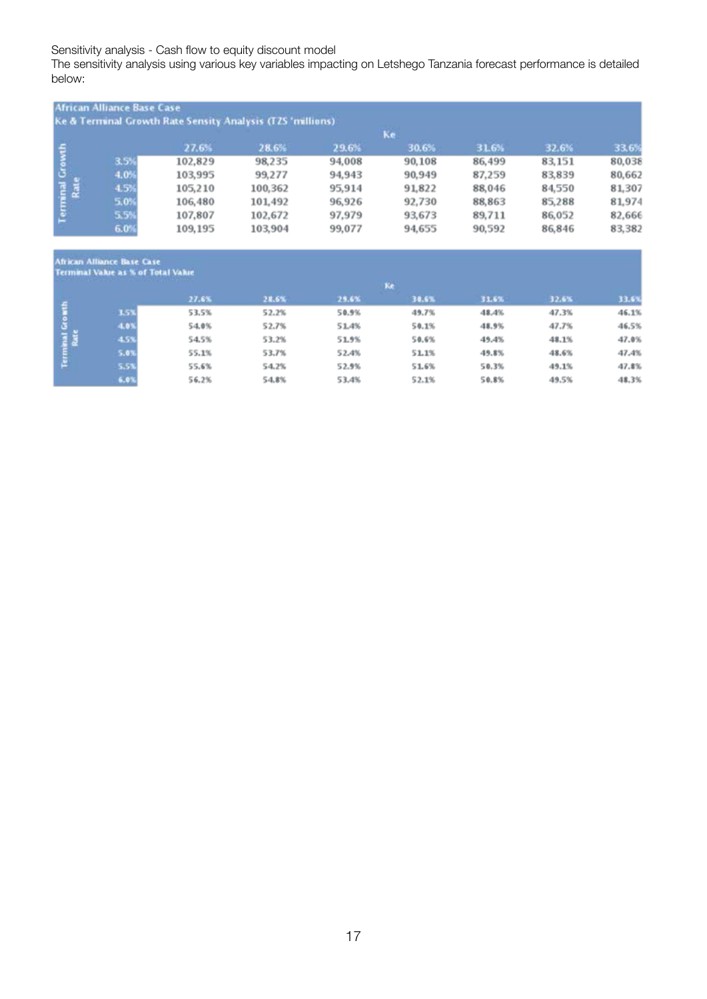Sensitivity analysis - Cash flow to equity discount model

The sensitivity analysis using various key variables impacting on Letshego Tanzania forecast performance is detailed below:

|                         | <b>African Alliance Base Case</b> |         | Ke & Terminal Growth Rate Sensity Analysis (TZS 'millions) |        |        |        |        |        |
|-------------------------|-----------------------------------|---------|------------------------------------------------------------|--------|--------|--------|--------|--------|
|                         |                                   |         |                                                            |        | Ke     |        |        |        |
|                         |                                   | 27.6%   | 28.6%                                                      | 29.6%  | 30.6%  | 31.6%  | 32.6%  | 33.6%  |
|                         | 3.5%                              | 102,829 | 98,235                                                     | 94,008 | 90,108 | 86,499 | 83,151 | 80,038 |
|                         | 4.0%                              | 103,995 | 99,277                                                     | 94,943 | 90,949 | 87,259 | 83,839 | 80,662 |
|                         | 4.5%                              | 105,210 | 100,362                                                    | 95,914 | 91,822 | 88,046 | 84,550 | 81,307 |
|                         | 5.0%                              | 106,480 | 101.492                                                    | 96,926 | 92,730 | 88,863 | 85,288 | 81,974 |
| Terminal Growth<br>Rate | 5.5%                              | 107,807 | 102,672                                                    | 97,979 | 93,673 | 89,711 | 86,052 | 82,666 |
|                         | 6.0%                              | 109,195 | 103,904                                                    | 99,077 | 94,655 | 90,592 | 86,846 | 83,382 |

# -<br>African Alliance Base Case

|               | <b>ECONOMIC VERSIC R.P. O.M.I. SVINT VERSIC</b> |       |       |       |       |       |       |       |
|---------------|-------------------------------------------------|-------|-------|-------|-------|-------|-------|-------|
|               |                                                 |       |       |       | Ke    |       |       |       |
|               |                                                 | 27.6% | 28.6% | 29.6% | 38.6% | 31.6% | 32.6% | 33.6% |
| $\frac{4}{3}$ | 3.5%                                            | 53.5% | 52.2% | 50.9% | 49.7% | 48.4% | 47.3% | 46.1% |
|               | 4.0%                                            | 54.0% | 52.7% | 51.4% | 50.1% | 48.9% | 47.7% | 46.5% |
|               | 4.5%                                            | 54.5% | 53.2% | 51.9% | 50.6% | 49.4% | 48.1% | 47.0% |
| Term          | 5.0%                                            | 55.1% | 53.7% | 52.4% | 51.1% | 49.8% | 48.6% | 47.4% |
|               | 5.5%                                            | 55.6% | 54.2% | 52.9% | 51.6% | 50.3% | 49.1% | 47.8% |
|               | 6.01                                            | 56.2% | 54.8% | 53.4% | 52.1% | 50.8% | 49.5% | 48.3% |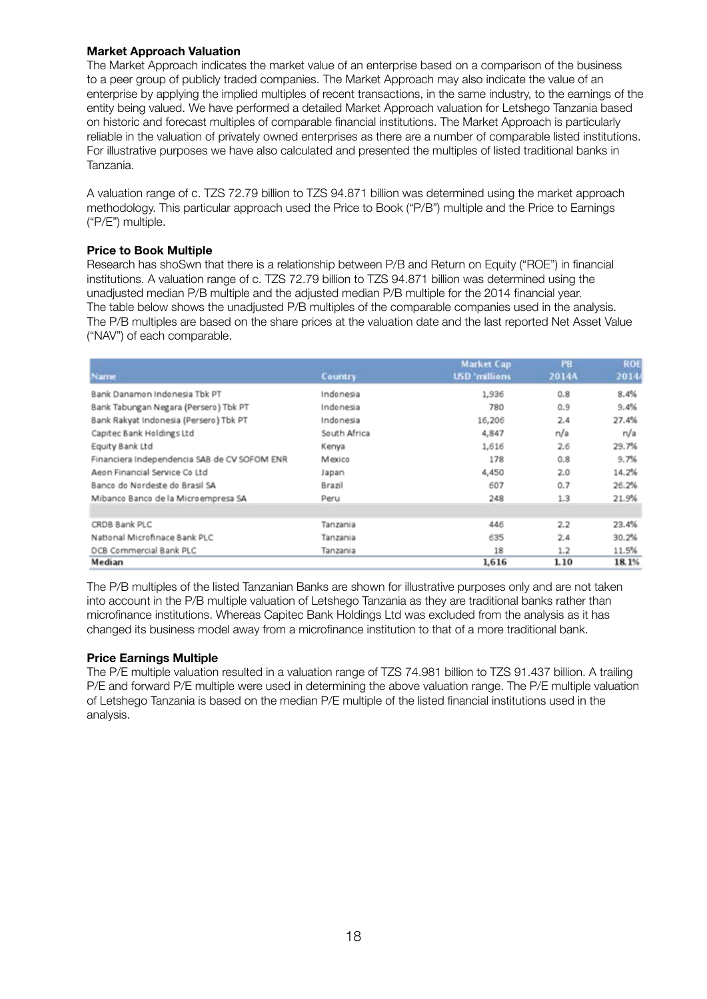#### **Market Approach Valuation**

 The Market Approach indicates the market value of an enterprise based on a comparison of the business to a peer group of publicly traded companies. The Market Approach may also indicate the value of an enterprise by applying the implied multiples of recent transactions, in the same industry, to the earnings of the entity being valued. We have performed a detailed Market Approach valuation for Letshego Tanzania based on historic and forecast multiples of comparable financial institutions. The Market Approach is particularly reliable in the valuation of privately owned enterprises as there are a number of comparable listed institutions. For illustrative purposes we have also calculated and presented the multiples of listed traditional banks in Tanzania.

 A valuation range of c. TZS 72.79 billion to TZS 94.871 billion was determined using the market approach methodology. This particular approach used the Price to Book ("P/B") multiple and the Price to Earnings ("P/E") multiple.

## **Price to Book Multiple**

 Research has shoSwn that there is a relationship between P/B and Return on Equity ("ROE") in financial institutions. A valuation range of c. TZS 72.79 billion to TZS 94.871 billion was determined using the unadjusted median P/B multiple and the adjusted median P/B multiple for the 2014 financial year. The table below shows the unadjusted P/B multiples of the comparable companies used in the analysis. The P/B multiples are based on the share prices at the valuation date and the last reported Net Asset Value ("NAV") of each comparable.

|                                              |                | <b>Market Cap</b>    | PB.   | ROE   |
|----------------------------------------------|----------------|----------------------|-------|-------|
| <b>Name</b>                                  | <b>Country</b> | <b>USD</b> 'millions | 2014A | 2014  |
| Bank Danamon Indonesia Tbk PT                | Indonesia      | 1,936                | 0.8   | 8.4%  |
| Bank Tabungan Negara (Persero) Tbk PT        | Indonesia      | 780                  | 0.9   | 9.4%  |
| Bank Rakyat Indonesia (Persero) Tbk PT       | Indonesia      | 16,206               | 2.4   | 27.4% |
| Capitec Bank Holdings Ltd                    | South Africa   | 4,847                | n/a   | n/a   |
| Equity Bank Ltd                              | Kenya          | 1,616                | 2.6   | 29.7% |
| Financiera Independencia SAB de CV SOFOM ENR | Mexico         | 178                  | 0.8   | 9.7%  |
| Aeon Financial Service Co Ltd                | Japan          | 4,450                | 2.0   | 14.2% |
| Banco do Nordeste do Brasil SA               | Brazil         | 607                  | 0.7   | 26.2% |
| Mibanco Banco de la Microempresa SA          | Peru           | 248                  | 1.3   | 21.9% |
| CRDB Bank PLC                                | Tanzania       | 446                  | 2.2   | 23.4% |
| National Microfinace Bank PLC                | Tanzania       | 635                  | 2.4   | 30.2% |
| DCB Commercial Bank PLC                      | Tanzania       | 18                   | 1.2   | 11.5% |
| Median                                       |                | 1,616                | 1.10  | 18.1% |

 The P/B multiples of the listed Tanzanian Banks are shown for illustrative purposes only and are not taken into account in the P/B multiple valuation of Letshego Tanzania as they are traditional banks rather than microfinance institutions. Whereas Capitec Bank Holdings Ltd was excluded from the analysis as it has changed its business model away from a microfinance institution to that of a more traditional bank.

## **Price Earnings Multiple**

 The P/E multiple valuation resulted in a valuation range of TZS 74.981 billion to TZS 91.437 billion. A trailing P/E and forward P/E multiple were used in determining the above valuation range. The P/E multiple valuation of Letshego Tanzania is based on the median P/E multiple of the listed financial institutions used in the analysis.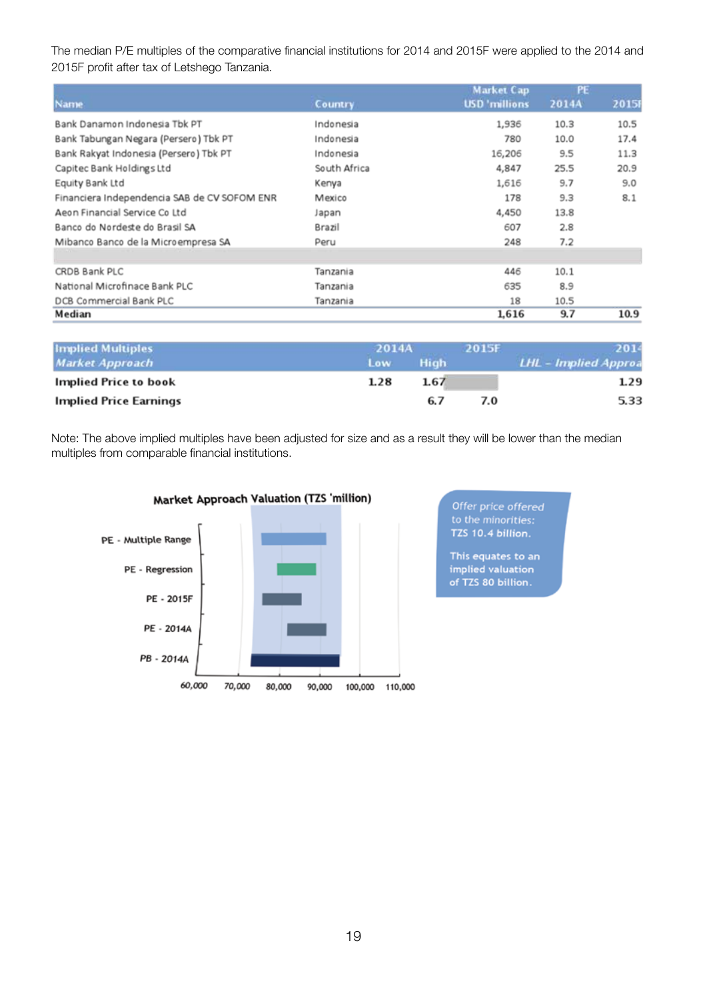The median P/E multiples of the comparative financial institutions for 2014 and 2015F were applied to the 2014 and 2015F profit after tax of Letshego Tanzania.

| <b>Name</b>                                  | <b>Country</b> | Market Cap<br><b>USD</b> 'millions | PE.<br>2014A | 2015 |
|----------------------------------------------|----------------|------------------------------------|--------------|------|
| Bank Danamon Indonesia Tbk PT                | Indonesia      | 1,936                              | 10.3         | 10.5 |
| Bank Tabungan Negara (Persero) Tbk PT        | Indonesia      | 780                                | 10.0         | 17.4 |
| Bank Rakyat Indonesia (Persero) Tbk PT       | Indonesia      | 16,206                             | 9.5          | 11.3 |
| Capitec Bank Holdings Ltd                    | South Africa   | 4,847                              | 25.5         | 20.9 |
| Equity Bank Ltd                              | Kenya          | 1,616                              | 9.7          | 9.0  |
| Financiera Independencia SAB de CV SOFOM ENR | Mexico         | 178                                | 9.3          | 8.1  |
| Aeon Financial Service Co Ltd                | Japan          | 4,450                              | 13.8         |      |
| Banco do Nordeste do Brasil SA               | Brazil         | 607                                | 2.8          |      |
| Mibanco Banco de la Microempresa SA          | Peru           | 248                                | 7.2          |      |
|                                              |                |                                    |              |      |
| CRDB Bank PLC                                | Tanzania       | 446                                | 10.1         |      |
| National Microfinace Bank PLC                | Tanzania       | 635                                | 8.9          |      |
| DCB Commercial Bank PLC                      | Tanzania       | 18                                 | 10.5         |      |
| Median                                       |                | 1.616                              | 9.7          | 10.9 |

| <b>Implied Multiples</b> | 2014A |             | 2015F | 2014                 |
|--------------------------|-------|-------------|-------|----------------------|
| <b>Market Approach</b>   | Low   | <b>High</b> |       | LHL - Implied Approa |
| Implied Price to book    | 1.28  | 1.67        |       | 1.29                 |
| Implied Price Earnings   |       | 6.7         | 7.0   | 5.33                 |

Note: The above implied multiples have been adjusted for size and as a result they will be lower than the median multiples from comparable financial institutions.



Offer price offered<br>to the minorities:<br>TZS 10.4 billion.

This equates to an implied valuation of TZS 80 billion.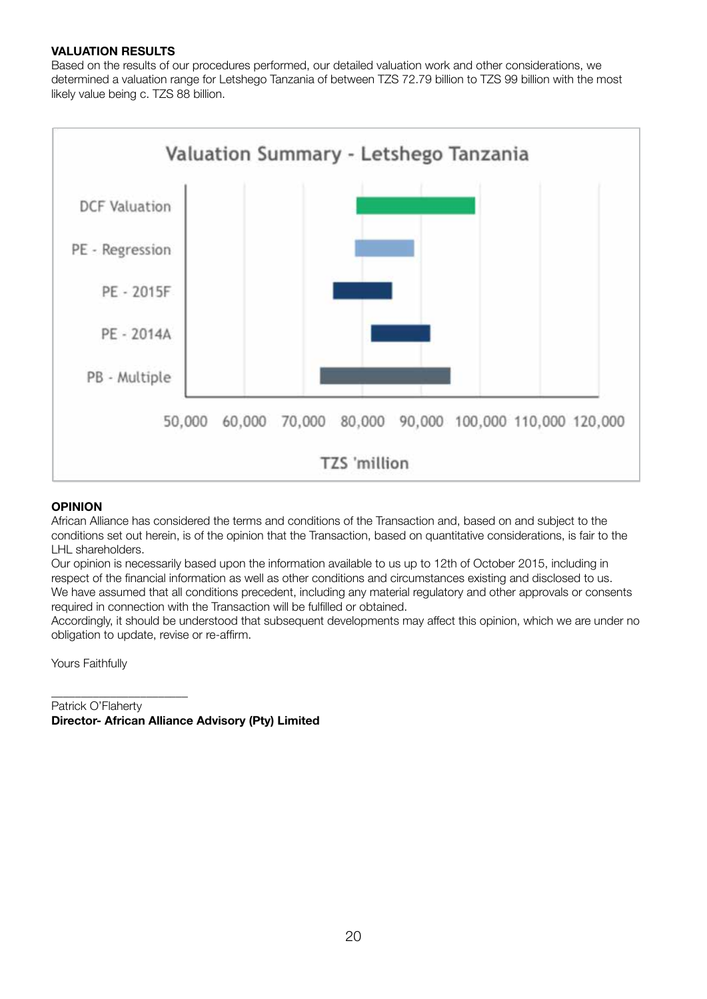## **VALUATION RESULTS**

Based on the results of our procedures performed, our detailed valuation work and other considerations, we determined a valuation range for Letshego Tanzania of between TZS 72.79 billion to TZS 99 billion with the most likely value being c. TZS 88 billion.



#### **OPINION**

African Alliance has considered the terms and conditions of the Transaction and, based on and subject to the conditions set out herein, is of the opinion that the Transaction, based on quantitative considerations, is fair to the LHL shareholders.

Our opinion is necessarily based upon the information available to us up to 12th of October 2015, including in respect of the financial information as well as other conditions and circumstances existing and disclosed to us. We have assumed that all conditions precedent, including any material regulatory and other approvals or consents required in connection with the Transaction will be fulfilled or obtained.

Accordingly, it should be understood that subsequent developments may affect this opinion, which we are under no obligation to update, revise or re-affirm.

Yours Faithfully

\_\_\_\_\_\_\_\_\_\_\_\_\_\_\_\_\_\_\_\_\_\_\_

Patrick O'Flaherty **Director- African Alliance Advisory (Pty) Limited**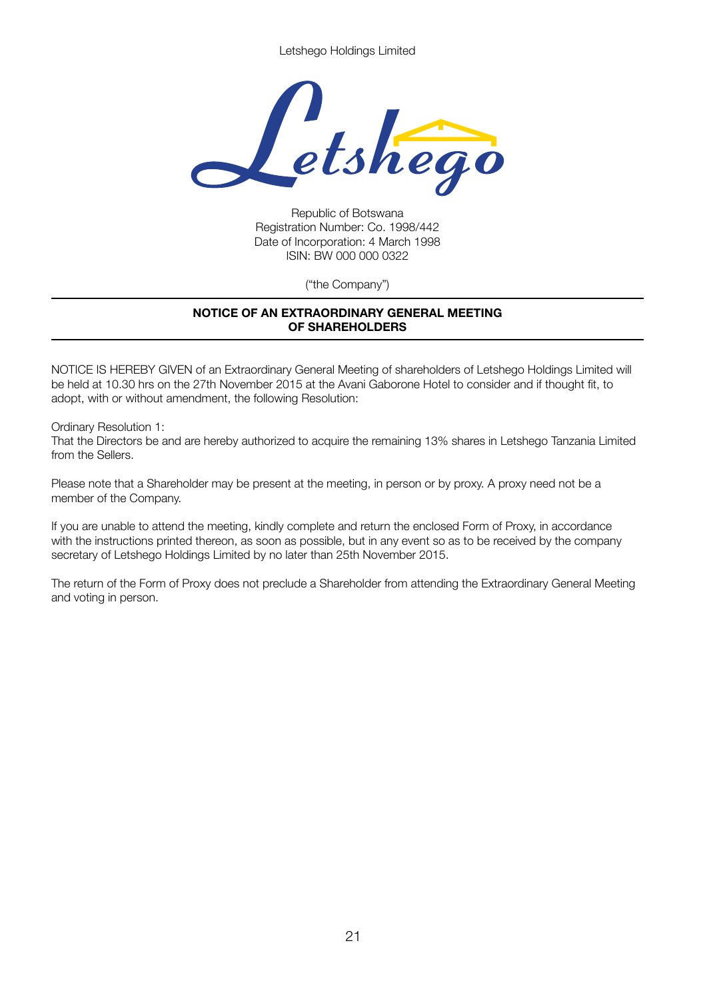Letshego Holdings Limited



Republic of Botswana Registration Number: Co. 1998/442 Date of Incorporation: 4 March 1998 ISIN: BW 000 000 0322

("the Company")

## **NOTICE OF AN EXTRAORDINARY GENERAL MEETING OF SHAREHOLDERS**

NOTICE IS HEREBY GIVEN of an Extraordinary General Meeting of shareholders of Letshego Holdings Limited will be held at 10.30 hrs on the 27th November 2015 at the Avani Gaborone Hotel to consider and if thought fit, to adopt, with or without amendment, the following Resolution:

Ordinary Resolution 1:

That the Directors be and are hereby authorized to acquire the remaining 13% shares in Letshego Tanzania Limited from the Sellers.

Please note that a Shareholder may be present at the meeting, in person or by proxy. A proxy need not be a member of the Company.

If you are unable to attend the meeting, kindly complete and return the enclosed Form of Proxy, in accordance with the instructions printed thereon, as soon as possible, but in any event so as to be received by the company secretary of Letshego Holdings Limited by no later than 25th November 2015.

The return of the Form of Proxy does not preclude a Shareholder from attending the Extraordinary General Meeting and voting in person.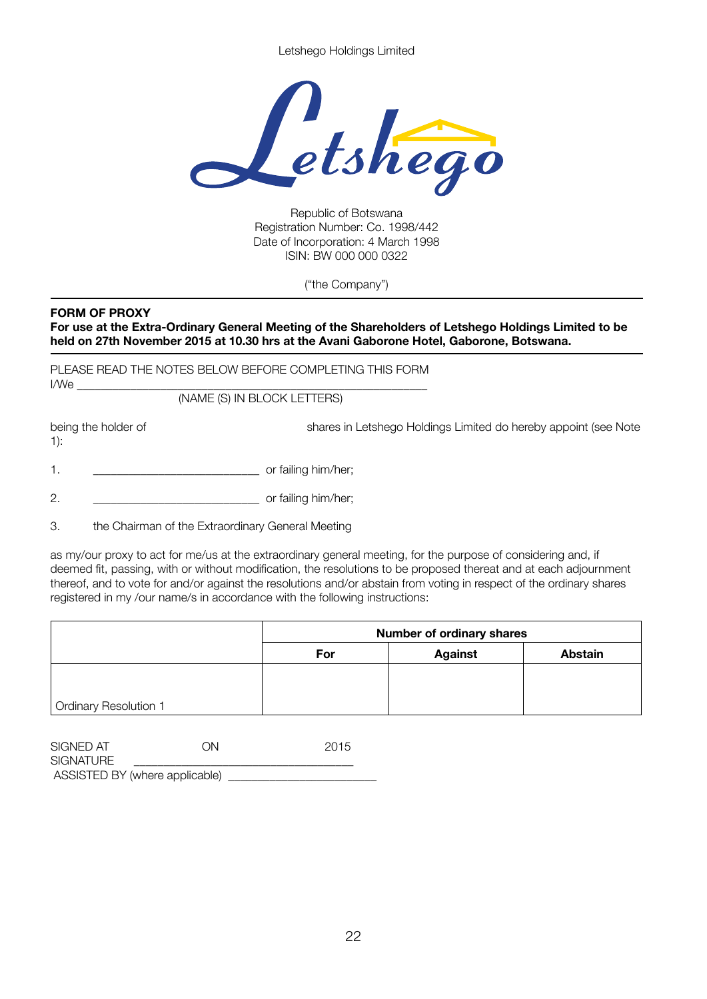Letshego Holdings Limited



Republic of Botswana Registration Number: Co. 1998/442 Date of Incorporation: 4 March 1998 ISIN: BW 000 000 0322

("the Company")

## **FORM OF PROXY**

**For use at the Extra-Ordinary General Meeting of the Shareholders of Letshego Holdings Limited to be held on 27th November 2015 at 10.30 hrs at the Avani Gaborone Hotel, Gaborone, Botswana.**

PLEASE READ THE NOTES BELOW BEFORE COMPLETING THIS FORM I/We \_\_\_\_\_\_\_\_\_\_\_\_\_\_\_\_\_\_\_\_\_\_\_\_\_\_\_\_\_\_\_\_\_\_\_\_\_\_\_\_\_\_\_\_\_\_\_\_\_\_\_\_\_\_\_\_\_\_\_

 (NAME (S) IN BLOCK LETTERS)

1):

being the holder of **Shares in Letshego Holdings Limited do hereby appoint (see Note** 

|  |  | or failing him/her; |
|--|--|---------------------|
|--|--|---------------------|

2. \_\_\_\_\_\_\_\_\_\_\_\_\_\_\_\_\_\_\_\_\_\_\_\_\_\_\_\_ or failing him/her;

3. the Chairman of the Extraordinary General Meeting

as my/our proxy to act for me/us at the extraordinary general meeting, for the purpose of considering and, if deemed fit, passing, with or without modification, the resolutions to be proposed thereat and at each adjournment thereof, and to vote for and/or against the resolutions and/or abstain from voting in respect of the ordinary shares registered in my /our name/s in accordance with the following instructions:

|                              | <b>Number of ordinary shares</b> |                |                |  |  |
|------------------------------|----------------------------------|----------------|----------------|--|--|
|                              | For                              | <b>Against</b> | <b>Abstain</b> |  |  |
|                              |                                  |                |                |  |  |
|                              |                                  |                |                |  |  |
| <b>Ordinary Resolution 1</b> |                                  |                |                |  |  |

| SIGNED AT                      | ON | 2015 |
|--------------------------------|----|------|
| SIGNATURE                      |    |      |
| ASSISTED BY (where applicable) |    |      |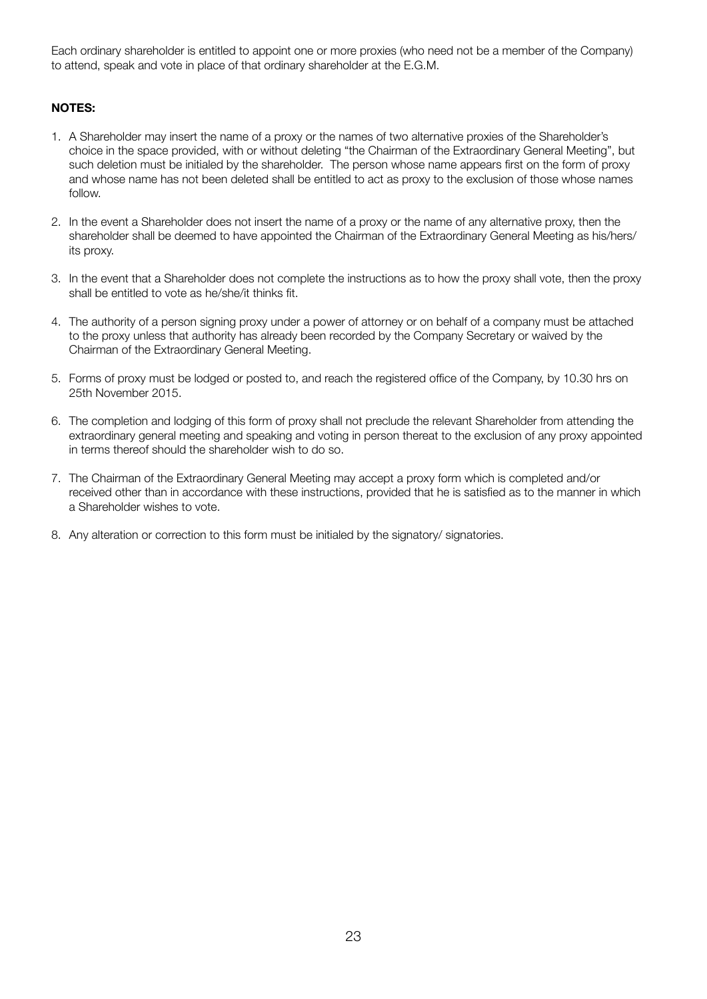Each ordinary shareholder is entitled to appoint one or more proxies (who need not be a member of the Company) to attend, speak and vote in place of that ordinary shareholder at the E.G.M.

## **NOTES:**

- 1. A Shareholder may insert the name of a proxy or the names of two alternative proxies of the Shareholder's choice in the space provided, with or without deleting "the Chairman of the Extraordinary General Meeting", but such deletion must be initialed by the shareholder. The person whose name appears first on the form of proxy and whose name has not been deleted shall be entitled to act as proxy to the exclusion of those whose names follow.
- 2. In the event a Shareholder does not insert the name of a proxy or the name of any alternative proxy, then the shareholder shall be deemed to have appointed the Chairman of the Extraordinary General Meeting as his/hers/ its proxy.
- 3. In the event that a Shareholder does not complete the instructions as to how the proxy shall vote, then the proxy shall be entitled to vote as he/she/it thinks fit.
- 4. The authority of a person signing proxy under a power of attorney or on behalf of a company must be attached to the proxy unless that authority has already been recorded by the Company Secretary or waived by the Chairman of the Extraordinary General Meeting.
- 5. Forms of proxy must be lodged or posted to, and reach the registered office of the Company, by 10.30 hrs on 25th November 2015.
- 6. The completion and lodging of this form of proxy shall not preclude the relevant Shareholder from attending the extraordinary general meeting and speaking and voting in person thereat to the exclusion of any proxy appointed in terms thereof should the shareholder wish to do so.
- 7. The Chairman of the Extraordinary General Meeting may accept a proxy form which is completed and/or received other than in accordance with these instructions, provided that he is satisfied as to the manner in which a Shareholder wishes to vote.
- 8. Any alteration or correction to this form must be initialed by the signatory/ signatories.